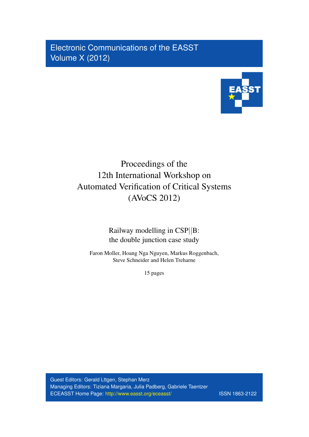Electronic Communications of the EASST Volume X (2012)



# Proceedings of the 12th International Workshop on Automated Verification of Critical Systems (AVoCS 2012)

Railway modelling in CSP||B: the double junction case study

Faron Moller, Hoang Nga Nguyen, Markus Roggenbach, Steve Schneider and Helen Treharne

15 pages

Guest Editors: Gerald Lttgen, Stephan Merz Managing Editors: Tiziana Margaria, Julia Padberg, Gabriele Taentzer ECEASST Home Page: <http://www.easst.org/eceasst/> ISSN 1863-2122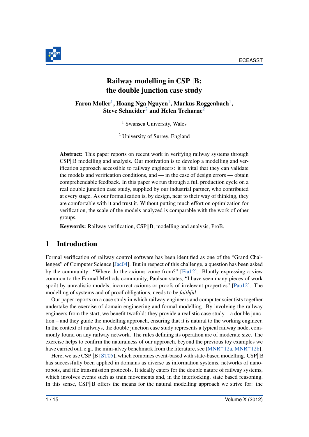

# Railway modelling in CSP||B: the double junction case study

<span id="page-1-0"></span>Faron Moller $^1$  $^1$ , Hoang Nga Nguyen $^1$ , Markus Roggenbach $^1,$ Steve Schneider<sup>[2](#page-1-1)</sup> and Helen Treharne<sup>2</sup>

<sup>1</sup> Swansea University, Wales

<sup>2</sup> University of Surrey, England

<span id="page-1-1"></span>Abstract: This paper reports on recent work in verifying railway systems through CSP||B modelling and analysis. Our motivation is to develop a modelling and verification approach accessible to railway engineers: it is vital that they can validate the models and verification conditions, and — in the case of design errors — obtain comprehendable feedback. In this paper we run through a full production cycle on a real double junction case study, supplied by our industrial partner, who contributed at every stage. As our formalization is, by design, near to their way of thinking, they are comfortable with it and trust it. Without putting much effort on optimization for verification, the scale of the models analyzed is comparable with the work of other groups.

Keywords: Railway verification, CSP||B, modelling and analysis, ProB.

# 1 Introduction

Formal verification of railway control software has been identified as one of the "Grand Challenges" of Computer Science [\[Jac04\]](#page-14-0). But in respect of this challenge, a question has been asked by the community: "Where do the axioms come from?" [\[Fia12\]](#page-14-1). Bluntly expressing a view common to the Formal Methods community, Paulson states, "I have seen many pieces of work spoilt by unrealistic models, incorrect axioms or proofs of irrelevant properties" [\[Pau12\]](#page-15-0). The modelling of systems and of proof obligations, needs to be *faithful*.

Our paper reports on a case study in which railway engineers and computer scientists together undertake the exercise of domain engineering and formal modelling. By involving the railway engineers from the start, we benefit twofold: they provide a realistic case study – a double junction – and they guide the modelling approach, ensuring that it is natural to the working engineer. In the context of railways, the double junction case study represents a typical railway node, commonly found on any railway network. The rules defining its operation are of moderate size. The exercise helps to confirm the naturalness of our approach, beyond the previous toy examples we have carried out, e.g., the mini-alvey benchmark from the literature, see [\[MNR](#page-15-1)+12a, [MNR](#page-15-2)+12b].

Here, we use CSP||B [\[ST05\]](#page-15-3), which combines event-based with state-based modelling. CSP||B has successfully been applied in domains as diverse as information systems, networks of nanorobots, and file transmission protocols. It ideally caters for the double nature of railway systems, which involves events such as train movements and, in the interlocking, state based reasoning. In this sense, CSP||B offers the means for the natural modelling approach we strive for: the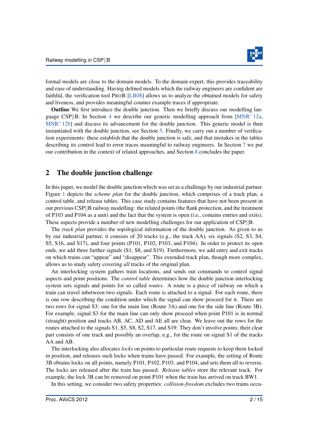

formal models are close to the domain models. To the domain expert, this provides traceability and ease of understanding. Having defined models which the railway engineers are confident are faithful, the verification tool PROB [\[LB08\]](#page-15-4) allows us to analyze the obtained models for safety and liveness, and provides meaningful counter example traces if appropriate.

Outline We first introduce the double junction. Then we briefly discuss our modelling lan-guage CSP||B. In Section [4](#page-5-0) we describe our generic modelling approach from  $MNR+12a$ ,  $MNR<sup>+</sup>12b$  $MNR<sup>+</sup>12b$ ] and discuss its advancement for the double junction. This generic model is then instantiated with the double junction, see Section [5.](#page-8-0) Finally, we carry out a number of verification experiments: these establish that the double junction is safe, and that mistakes in the tables describing its control lead to error traces meaningful to railway engineers. In Section [7](#page-12-0) we put our contribution in the context of related approaches, and Section [8](#page-13-0) concludes the paper.

### 2 The double junction challenge

In this paper, we model the double junction which was set as a challenge by our industrial partner. Figure [1](#page-3-0) depicts the *scheme plan* for the double junction, which comprises of a track plan, a control table, and release tables. This case study contains features that have not been present in our previous CSP||B railway modelling: the related points (the flank protection, and the treatment of P103 and P104 as a unit) and the fact that the system is open (i.e., contains entries and exits). These aspects provide a number of new modelling challenges for our application of CSP||B.

The *track plan* provides the topological information of the double junction. As given to us by our industrial partner, it consists of 20 tracks (e.g., the track AA), six signals (S2, S3, S4, S5, S16, and S17), and four points (P101, P102, P103, and P104). In order to protect its open ends, we add three further signals (S1, S8, and S19). Furthermore, we add entry and exit tracks on which trains can "appear" and "disappear". This extended track plan, though more complex, allows us to study safety covering *all* tracks of the original plan.

An interlocking system gathers train locations, and sends out commands to control signal aspects and point positions. The *control table* determines how the double junction interlocking system sets signals and points for so called *routes*. A route is a piece of railway on which a train can travel inbetween two signals. Each route is attached to a signal. For each route, there is one row describing the condition under which the signal can show proceed for it. There are two rows for signal S3: one for the main line (Route 3A) and one for the side line (Route 3B). For example, signal S3 for the main line can only show proceed when point P101 is in normal (straight) position and tracks AB, AC, AD and AE all are clear. We leave out the rows for the routes attached to the signals S1, S5, S8, S2, S17, and S19: They don't involve points; their clear part consists of one track and possibly an overlap, e.g., for the route on signal S1 of the tracks AA and AB.

The interlocking also allocates *locks* on points to particular route requests to keep them locked in position, and releases such locks when trains have passed. For example, the setting of Route 3B obtains locks on all points, namely P101, P102, P103, and P104, and sets them all to reverse. The locks are released after the train has passed. *Release tables* store the relevant track. For example, the lock 3B can be removed on point P101 when the train has arrived on track BW1.

In this setting, we consider two safety properties: *collision-freedom* excludes two trains occu-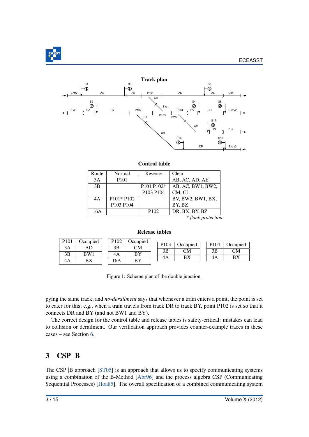

<span id="page-3-0"></span>

#### Control table

| Route | Normal           | Reverse                                        | Clear                |
|-------|------------------|------------------------------------------------|----------------------|
| 3A    | P <sub>101</sub> |                                                | AB, AC, AD, AE       |
| 3B    |                  | P <sub>101</sub> P <sub>102</sub> <sup>*</sup> | AB, AC, BW1, BW2,    |
|       |                  | P103 P104                                      | CM, CL               |
| 4A    | P101* P102       |                                                | BV, BW2, BW1, BX,    |
|       | P103 P104        |                                                | BY, BZ               |
| 16A   |                  | P <sub>102</sub>                               | DR, BX, BY, BZ       |
|       |                  |                                                | $*$ flank protection |

*\* flank protection*

#### Release tables

| P <sub>101</sub> | Occupied | P <sub>102</sub> | Occupied | P <sub>103</sub> | Occupied | P <sub>104</sub> | Occupied |
|------------------|----------|------------------|----------|------------------|----------|------------------|----------|
| 3Α               | AD       | 3Β               | СM       | 3B               | СM       | 3B               | СM       |
| 3B               | BW1      | 4A               | BY       |                  | BX       |                  | ВX       |
| 4A               | ВX       | 16A              | BY       | 4A               |          | 4A               |          |

Figure 1: Scheme plan of the double junction.

pying the same track; and *no-derailment* says that whenever a train enters a point, the point is set to cater for this; e.g., when a train travels from track DR to track BY, point P102 is set so that it connects DR and BY (and not BW1 and BY).

The correct design for the control table and release tables is safety-critical: mistakes can lead to collision or derailment. Our verification approach provides counter-example traces in these cases – see Section [6.](#page-8-1)

# 3 CSP||B

The CSP||B approach [\[ST05\]](#page-15-3) is an approach that allows us to specify communicating systems using a combination of the B-Method [\[Abr96\]](#page-14-2) and the process algebra CSP (Communicating Sequential Processes) [\[Hoa85\]](#page-14-3). The overall specification of a combined communicating system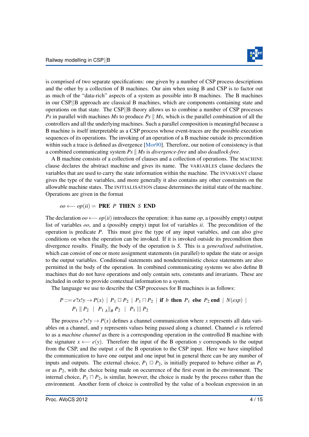

is comprised of two separate specifications: one given by a number of CSP process descriptions and the other by a collection of B machines. Our aim when using B and CSP is to factor out as much of the "data-rich" aspects of a system as possible into B machines. The B machines in our CSP||B approach are classical B machines, which are components containing state and operations on that state. The CSP||B theory allows us to combine a number of CSP processes *Ps* in parallel with machines *Ms* to produce *Ps*  $\parallel$  *Ms*, which is the parallel combination of all the controllers and all the underlying machines. Such a parallel composition is meaningful because a B machine is itself interpretable as a CSP process whose event-traces are the possible execution sequences of its operations. The invoking of an operation of a B machine outside its precondition within such a trace is defined as divergence [\[Mor90\]](#page-15-5). Therefore, our notion of consistency is that a combined communicating system *Ps* k *Ms* is *divergence-free* and also *deadlock-free*.

A B machine consists of a collection of clauses and a collection of operations. The MACHINE clause declares the abstract machine and gives its name. The VARIABLES clause declares the variables that are used to carry the state information within the machine. The INVARIANT clause gives the type of the variables, and more generally it also contains any other constraints on the allowable machine states. The INITIALISATION clause determines the initial state of the machine. Operations are given in the format

#### $oo \longleftarrow op(ii) = PRE P THEN S END$

The declaration *oo* ←− *op*(*ii*) introduces the operation: it has name *op*, a (possibly empty) output list of variables *oo*, and a (possibly empty) input list of variables *ii*. The precondition of the operation is predicate *P*. This must give the type of any input variables, and can also give conditions on when the operation can be invoked. If it is invoked outside its precondition then divergence results. Finally, the body of the operation is *S*. This is a *generalised substitution*, which can consist of one or more assignment statements (in parallel) to update the state or assign to the output variables. Conditional statements and nondeterministic choice statements are also permitted in the body of the operation. In combined communicating systems we also define B machines that do not have operations and only contain sets, constants and invariants. These are included in order to provide contextual information to a system.

The language we use to describe the CSP processes for B machines is as follows:

$$
P ::= e?x!y \rightarrow P(x) | P_1 \square P_2 | P_1 \square P_2 | \text{if } b \text{ then } P_1 \text{ else } P_2 \text{ end} | N(exp) |
$$
  

$$
P_1 || P_2 | P_1_A ||_B P_2 | P_1 ||_1 P_2
$$

The process  $e?x!y \rightarrow P(x)$  defines a channel communication where *x* represents all data variables on a channel, and *y* represents values being passed along a channel. Channel *e* is referred to as a *machine channel* as there is a corresponding operation in the controlled B machine with the signature  $x \leftarrow e(y)$ . Therefore the input of the B operation *y* corresponds to the output from the CSP, and the output *x* of the B operation to the CSP input. Here we have simplified the communication to have one output and one input but in general there can be any number of inputs and outputs. The external choice,  $P_1 \square P_2$ , is initially prepared to behave either as  $P_1$ or as *P*2, with the choice being made on occurrence of the first event in the environment. The internal choice,  $P_1 \sqcap P_2$ , is similar, however, the choice is made by the process rather than the environment. Another form of choice is controlled by the value of a boolean expression in an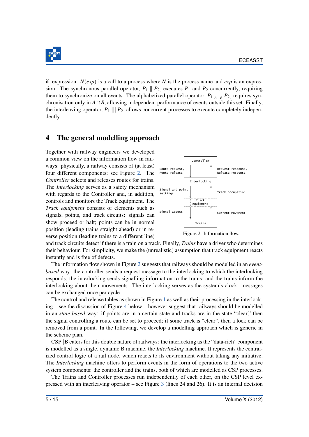

if expression.  $N(exp)$  is a call to a process where N is the process name and  $exp$  is an expression. The synchronous parallel operator,  $P_1 \parallel P_2$ , executes  $P_1$  and  $P_2$  concurrently, requiring them to synchronize on all events. The alphabetized parallel operator,  $P_{1A} \parallel_B P_2$ , requires synchronisation only in *A*∩*B*, allowing independent performance of events outside this set. Finally, the interleaving operator,  $P_1$  |||  $P_2$ , allows concurrent processes to execute completely independently.

# <span id="page-5-0"></span>4 The general modelling approach

Together with railway engineers we developed a common view on the information flow in railways: physically, a railway consists of (at least) four different components; see Figure [2.](#page-5-1) The *Controller* selects and releases routes for trains. The *Interlocking* serves as a safety mechanism with regards to the Controller and, in addition, controls and monitors the Track equipment. The *Track equipment* consists of elements such as signals, points, and track circuits: signals can show proceed or halt; points can be in normal position (leading trains straight ahead) or in reverse position (leading trains to a different line)



<span id="page-5-1"></span>Figure 2: Information flow.

and track circuits detect if there is a train on a track. Finally, *Trains* have a driver who determines their behaviour. For simplicity, we make the (unrealistic) assumption that track equipment reacts instantly and is free of defects.

The information flow shown in Figure [2](#page-5-1) suggests that railways should be modelled in an *eventbased* way: the controller sends a request message to the interlocking to which the interlocking responds; the interlocking sends signalling information to the trains; and the trains inform the interlocking about their movements. The interlocking serves as the system's clock: messages can be exchanged once per cycle.

The control and release tables as shown in Figure [1](#page-3-0) as well as their processing in the interlocking – see the discussion of Figure [4](#page-7-0) below – however suggest that railways should be modelled in an *state-based* way: if points are in a certain state and tracks are in the state "clear," then the signal controlling a route can be set to proceed; if some track is "clear", then a lock can be removed from a point. In the following, we develop a modelling approach which is generic in the scheme plan.

CSP||B caters for this double nature of railways: the interlocking as the "data-rich" component is modelled as a single, dynamic B machine, the *Interlocking* machine. It represents the centralized control logic of a rail node, which reacts to its environment without taking any initiative. The *Interlocking* machine offers to perform events in the form of operations to the two active system components: the controller and the trains, both of which are modelled as CSP processes.

The Trains and Controller processes run independently of each other, on the CSP level expressed with an interleaving operator – see Figure [3](#page-6-0) (lines 24 and 26). It is an internal decision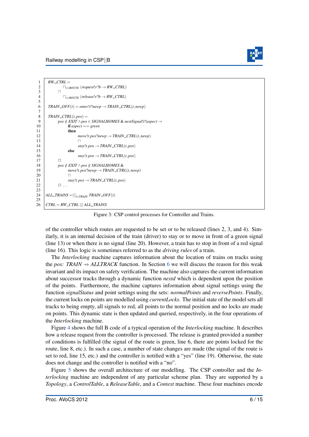

```
1 RW_CTRL =
 2 \bigcap_{r \in \text{ROUTE}} (\text{request}! r ? b \rightarrow \text{RW\_CTRL})3 \mid \square4 \bigcap_{r \in \text{ROUTE}} (release! r ? b \rightarrow RW\_CTRL)\frac{5}{6}TRAIN\_OFF(t) = enter! t?newp \rightarrow TRAIN\_CTR(t, newp)7
 \begin{array}{c|c} 8 & TRAIN\_CTRL(t, pos) = \\ 9 & \text{pos} \neq EXIT \wedge pos \end{array}9 pos ∈/ EXIT ∧pos ∈ SIGNALHOMES & nextSignal!t?aspect →
10 if aspect == green
11 then
12 move!t.pos?newp \rightarrow TRAIN_CTRL(t,newp)
\overline{13} n
14 \qquad \qquad star!t, pos \rightarrow TRAIN\_CTRL(t, pos)15 else
16 stay!t.pos \rightarrow <b>TRAIN_CTRL(t,pos)
17 \Box18 pos \notin EXIT \wedge pos \not\in SIGNALHOMES \&19 \longleftarrow move!t.pos?newp \rightarrow TRAIN_CTRL(t,newp) \sqcap20 \Box21 \qquad \qquad stay!t.pos \rightarrow TRAIN_CTRL(t,pos)<br>22
             22 - 122324 |ALL\_TRANS = |||_{t \in TRAN} \text{TRAN}\_OFF(t)2526 CTRL = RW\_CTRL || ALL\_TRANS
```
Figure 3: CSP control processes for Controller and Trains.

of the controller which routes are requested to be set or to be released (lines 2, 3, and 4). Similarly, it is an internal decision of the train (driver) to stay or to move in front of a green signal (line 13) or when there is no signal (line 20). However, a train has to stop in front of a red signal (line 16). This logic is sometimes referred to as the *driving rules* of a train.

The *Interlocking* machine captures information about the location of trains on tracks using the *pos:* TRAIN  $\rightarrow$  *ALLTRACK* function. In Section [6](#page-8-1) we will discuss the reason for this weak invariant and its impact on safety verification. The machine also captures the current information about successor tracks through a dynamic function *nextd* which is dependent upon the position of the points. Furthermore, the machine captures information about signal settings using the function *signalStatus* and point settings using the sets: *normalPoints* and *reversePoints*. Finally, the current locks on points are modelled using *currentLocks*. The initial state of the model sets all tracks to being empty, all signals to red, all points to the normal position and no locks are made on points. This dynamic state is then updated and queried, respectively, in the four operations of the *Interlocking* machine.

Figure [4](#page-7-0) shows the full B code of a typical operation of the *Interlocking* machine. It describes how a release request from the controller is processed. The release is granted provided a number of conditions is fulfilled (the signal of the route is green, line 6, there are points locked for the route, line 8, etc.). In such a case, a number of state changes are made (the signal of the route is set to red, line 15, etc.) and the controller is notified with a "yes" (line 19). Otherwise, the state does not change and the controller is notified with a "no".

Figure [5](#page-7-1) shows the overall architecture of our modelling. The CSP controller and the *Interlocking* machine are independent of any particular scheme plan. They are supported by a *Topology*, a *ControlTable*, a *ReleaseTable*, and a *Context* machine. These four machines encode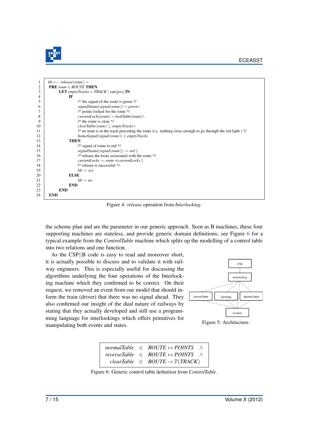

<span id="page-7-0"></span>

| 1              | $bb \leftarrow$ release(route) =                                                                             |
|----------------|--------------------------------------------------------------------------------------------------------------|
| $\overline{2}$ | <b>PRE</b> route $\in$ <b>ROUTE THEN</b>                                                                     |
| 3              | <b>LET</b> emptyTracks = TRACK \ran(pos) IN                                                                  |
| 4              | IF                                                                                                           |
| 5              | /* the signal of the route is green $*/$                                                                     |
| 6              | $signalStatus(signal(root)) = green \wedge$                                                                  |
| 7              | $/*$ points locked for the route $*/$                                                                        |
| 8              | $currentLocks[route] = lockTable[route] \wedge$                                                              |
| 9              | /* the route is clear $*/$                                                                                   |
| 10             | $clearTable(root) \subseteq emptyTracks \wedge$                                                              |
| 11             | /* no train is in the track preceding the route (i.e. nothing close enough to go through the red light) $*/$ |
| 12             | $homeSignal(signal(root)) \in emptyTracks$                                                                   |
| 13             | <b>THEN</b>                                                                                                  |
| 14             | /* signal of route to red */                                                                                 |
| 15             | $signalStatus(signal(root)) := red$                                                                          |
| 16             | /* release the locks associated with the route */                                                            |
| 17             | $currentLocks := route \leq currentLocks$                                                                    |
| 18             | /* release is successful */                                                                                  |
| 19             | $bb := yes$                                                                                                  |
| 20             | <b>ELSE</b>                                                                                                  |
| 21             | $bb := no$                                                                                                   |
| 22             | <b>END</b>                                                                                                   |
| 23             | <b>END</b>                                                                                                   |
| 24             | <b>END</b>                                                                                                   |
|                |                                                                                                              |

Figure 4: *release* operation from *Interlocking*.

the scheme plan and are the parameter in our generic approach. Seen as B machines, these four supporting machines are stateless, and provide generic domain definitions; see Figure [6](#page-7-2) for a typical example from the *ControlTable* machine which splits up the modelling of a control table into two relations and one function.

As the CSP||B code is easy to read and moreover short, it is actually possible to discuss and to validate it with railway engineers. This is especially useful for discussing the algorithms underlying the four operations of the Interlocking machine which they confirmed to be correct. On their request, we removed an event from our model that should inform the train (driver) that there was no signal ahead. They also confirmed our insight of the dual nature of railways by stating that they actually developed and still use a programming language for interlockings which offers primitives for manipulating both events and states.



<span id="page-7-1"></span>Figure 5: Architecture.

|  | normalTable $\in$ ROUTE $\leftrightarrow$ POINTS $\land$  |
|--|-----------------------------------------------------------|
|  | reverseTable $\in$ ROUTE $\leftrightarrow$ POINTS $\land$ |
|  | $clearTable \in ROUTE \rightarrow \mathbb{P}(TRACT)$      |

<span id="page-7-2"></span>Figure 6: Generic control table definition from *ControlTable*.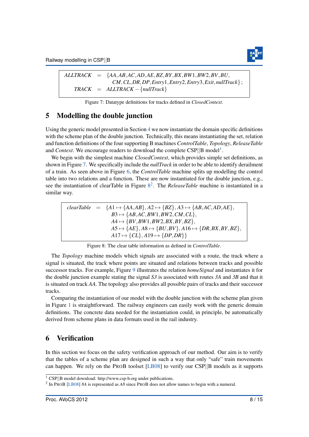

<span id="page-8-3"></span>*ALLTRACK* = {*AA*,*AB*,*AC*,*AD*,*AE*,*BZ*,*BY*,*BX*,*BW*1,*BW*2,*BV*,*BU*, *CM*,*CL*,*DR*,*DP*,*Entry*1,*Entry*2,*Entry*3,*Exit*,*nullTrack*};  $TRACK = ALLTRACK - {nullTrack}$ 

Figure 7: Datatype definitions for tracks defined in *ClosedContext*.

### <span id="page-8-0"></span>5 Modelling the double junction

Using the generic model presented in Section [4](#page-5-0) we now instantiate the domain specific definitions with the scheme plan of the double junction. Technically, this means instantiating the set, relation and function definitions of the four supporting B machines *ControlTable*, *Topology*, *ReleaseTable* and *Context*. We encourage readers to download the complete  $CSP||B \text{ model}^1$  $CSP||B \text{ model}^1$ .

We begin with the simplest machine *ClosedContext*, which provides simple set definitions, as shown in Figure [7.](#page-8-3) We specifically include the *nullTrack* in order to be able to identify derailment of a train. As seen above in Figure [6,](#page-7-2) the *ControlTable* machine splits up modelling the control table into two relations and a function. These are now instantiated for the double junction, e.g., see the instantiation of clearTable in Figure [8](#page-8-4) [2](#page-8-5) . The *ReleaseTable* machine is instantiated in a similar way.

<span id="page-8-4"></span>

|  | clearTable = $\{A1 \mapsto \{AA, AB\}, A2 \mapsto \{BZ\}, A3 \mapsto \{AB, AC, AD, AE\},\}$ |
|--|---------------------------------------------------------------------------------------------|
|  | $B3 \mapsto \{AB, AC, BW1, BW2, CM, CL\},\$                                                 |
|  | $A4 \mapsto \{BV, BW1, BW2, BX, BY, BZ\},\$                                                 |
|  | $AS \mapsto \{AE\}, AB \mapsto \{BU, BV\}, A16 \mapsto \{DR, BX, BY, BZ\},$                 |
|  | $A17 \mapsto \{CL\}, A19 \mapsto \{DP, DR\}\}$                                              |

Figure 8: The clear table information as defined in *ControlTable*.

The *Topology* machine models which signals are associated with a route, the track where a signal is situated, the track where points are situated and relations between tracks and possible successor tracks. For example, Figure [9](#page-9-0) illustrates the relation *homeSignal* and instantiates it for the double junction example stating the signal *S3* is associated with routes *3A* and *3B* and that it is situated on track *AA*. The topology also provides all possible pairs of tracks and their successor tracks.

Comparing the instantiation of our model with the double junction with the scheme plan given in Figure [1](#page-3-0) is straightforward. The railway engineers can easily work with the generic domain definitions. The concrete data needed for the instantiation could, in principle, be automatically derived from scheme plans in data formats used in the rail industry.

### <span id="page-8-1"></span>6 Verification

In this section we focus on the safety verification approach of our method. Our aim is to verify that the tables of a scheme plan are designed in such a way that only "safe" train movements can happen. We rely on the PROB toolset [\[LB08\]](#page-15-4) to verify our CSP||B models as it supports

<span id="page-8-2"></span><sup>1</sup> CSP||B model download: http://www.csp-b.org under publications.

<span id="page-8-5"></span><sup>2</sup> In PROB [\[LB08\]](#page-15-4) *8A* is represented as *A8* since PROB does not allow names to begin with a numeral.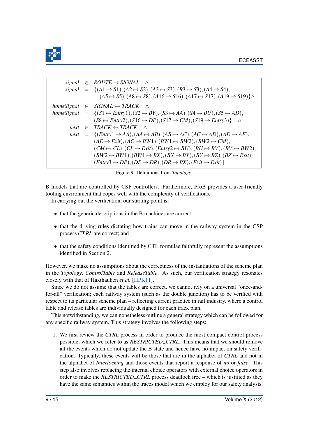

```
signal \in ROUTE \rightarrow SIGNAL \landsignal = {(A1 \rightarrow S1),(A2 \rightarrow S2),(A3 \rightarrow S3),(B3 \rightarrow S3),(A4 \rightarrow S4),
                             (A5 \rightarrow S5),(A8 \rightarrow S8),(A16 \rightarrow S16),(A17 \rightarrow S17),(A19 \rightarrow S19)homeSignal ∈ SIGNAL \rightarrow TRACK \landhomeSignal = \{(S1 \rightarrow Entry1), (S2 \rightarrow BY), (S3 \rightarrow AA), (S4 \rightarrow BU), (S5 \rightarrow AD),(S8 \rightarrow Entry2), (S16 \rightarrow DP), (S17 \rightarrow CM), (S19 \rightarrow Entry3) ^
          next \in \text{TRACK} \leftrightarrow \text{TRACK} ∧
          next = {(Entry1 \mapsto AA),(AA \mapsto AB),(AB \mapsto AC),(AC \mapsto AD),(AD \mapsto AE),
                          (AE \rightarrow Exit), (AC \rightarrow BW1), (BW1 \rightarrow BW2), (BW2 \rightarrow CM),
                          (CM \rightarrow CL), (CL \rightarrow Exit), (Entry2 \rightarrow BU), (BU \rightarrow BV), (BV \rightarrow BW2),(BW2 \rightarrow BW1), (BW1 \rightarrow BX), (BX \rightarrow BY), (BY \rightarrow BZ), (BZ \rightarrow Exit),(Entry3 \rightarrow DP), (DP \rightarrow DR), (DR \rightarrow BX), (Exit \rightarrow Exit)}
```
Figure 9: Definitions from *Topology*.

B models that are controlled by CSP controllers. Furthermore, ProB provides a user-friendly tooling environment that copes well with the complexity of verifications.

In carrying out the verification, our starting point is:

- that the generic descriptions in the B machines are correct;
- that the driving rules dictating how trains can move in the railway system in the CSP process *CT RL* are correct; and
- that the safety conditions identified by CTL formulae faithfully represent the assumptions identified in Section 2.

However, we make no assumptions about the correctness of the instantiations of the scheme plan in the *Topology*, *ControlTable* and *ReleaseTable*. As such, our verification strategy resonates closely with that of Haxthauhen *et al.* [\[HPK11\]](#page-14-4).

Since we do not assume that the tables are correct, we cannot rely on a universal "once-andfor-all" verification; each railway system (such as the double junction) has to be verified with respect to its particular scheme plan – reflecting current practice in rail industry, where a control table and release tables are individually designed for each track plan.

This notwithstanding, we can nonetheless outline a general strategy which can be followed for any specific railway system. This strategy involves the following steps:

1. We first review the *CTRL* process in order to produce the most compact control process possible, which we refer to as *RESTRICTED CTRL*. This means that we should remove all the events which do not update the B state and hence have no impact on safety verification. Typically, these events will be those that are in the alphabet of *CTRL* and not in the alphabet of *Interlocking* and those events that report a response of *no* or *false*. This step also involves replacing the internal choice operators with external choice operators in order to make the *RESTRICTED CTRL* process deadlock free – which is justified as they have the same semantics within the traces model which we employ for our safety analysis.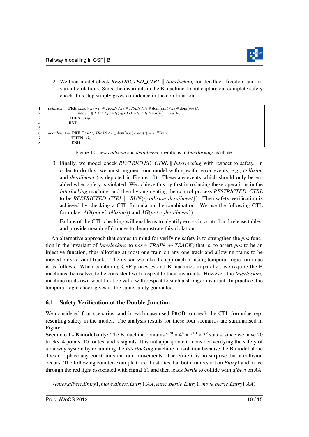$\frac{5}{6}$ 



2. We then model check *RESTRICTED\_CTRL | Interlocking* for deadlock-freedom and invariant violations. Since the invariants in the B machine do not capture our complete safety check, this step simply gives confidence in the combination.

```
collision = PRE exists_1, t_2 \cdot \mathbf{t}_1 \in TRAIN \land t_2 \in TRAIN \land t_1 \in \text{dom}(pos) \land t_2 \in \text{dom}(pos) \land t_2 \in pos(t_1) \notin EXIT \land pos(t_2) \notin EXIT \land t_1 \neq t_2 \land pos(t_1) = pos(t_2)2<br>
\begin{array}{c}\n p \circ s(t_1) \notin \text{EXIT} \land pos(t_2) \notin \text{EXIT} \land t_1 \neq t_2 \land pos(t_1) = pos(t_2) \\
 \text{THEN } \text{skip}\n\end{array}\begin{array}{c|c}\n 3 \\
 4\n \end{array} THEN skipEND<sub></sub>
         6 derailment = PRE ∃t • t ∈ TRAIN ∧t ∈ dom(pos)∧pos(t) = nullTrack
7 THEN skip
8 END
```
Figure 10: new *collision* and *derailment* operations in *Interlocking* machine.

3. Finally, we model check *RESTRICTED CTRL* k *Interlocking* with respect to safety. In order to do this, we must augment our model with specific error events, *e.g.*, *collision* and *derailment* (as depicted in Figure [10\)](#page-10-0). These are events which should only be enabled when safety is violated. We achieve this by first introducing these operations in the *Interlocking* machine, and then by augmenting the control process *RESTRICTED CTRL* to be *RESTRICTED CTRL* ||| *RUN*({*collision*,*derailment*}). Then safety verification is achieved by checking a CTL formula on the combination. We use the following CTL formulae: *AG*(*not e*(*collision*)) and *AG*(*not e*(*derailment*)).

Failure of the CTL checking will enable us to identify errors in control and release tables, and provide meaningful traces to demonstrate this violation.

An alternative approach that comes to mind for verifying safety is to strengthen the *pos* function in the invariant of *Interlocking* to  $pos \in TRAIN \rightarrow TRACK$ ; that is, to assert *pos* to be an injective function, thus allowing at most one train on any one track and allowing trains to be moved only to valid tracks. The reason we take the approach of using temporal logic formulae is as follows. When combining CSP processes and B machines in parallel, we require the B machines themselves to be consistent with respect to their invariants. However, the *Interlocking* machine on its own would not be valid with respect to such a stronger invariant. In practice, the temporal logic check gives us the same safety guarantee.

### 6.1 Safety Verification of the Double Junction

We considered four scenarios, and in each case used PROB to check the CTL formulae representing safety in the model. The analysis results for these four scenarios are summarised in Figure [11.](#page-11-0)

**Scenario 1 - B model only:** The B machine contains  $2^{20} \times 4^4 \times 2^{10} \times 2^9$  states, since we have 20 tracks, 4 points, 10 routes, and 9 signals. It is not appropriate to consider verifying the safety of a railway system by examining the *Interlocking* machine in isolation because the B model alone does not place any constraints on train movements. Therefore it is no surprise that a collision occurs. The following counter-example trace illustrates that both trains start on *Entry*1 and move through the red light associated with signal *S*1 and then leads *bertie* to collide with *albert* on *AA*.

h*enter*.*albert*.*Entry*1,*move*.*albert*.*Entry*1.*AA*, *enter*.*bertie*.*Entry*1,*move*.*bertie*.*Entry*1.*AA*i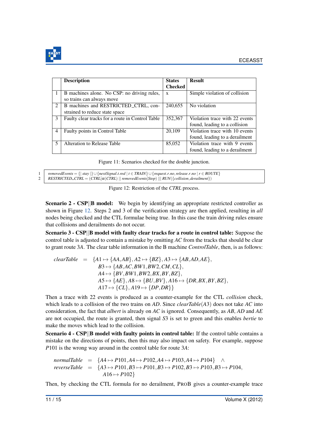

<span id="page-11-0"></span>

|                          | <b>Description</b>                               | <b>States</b>  | <b>Result</b>                  |
|--------------------------|--------------------------------------------------|----------------|--------------------------------|
|                          |                                                  | <b>Checked</b> |                                |
| -1                       | B machines alone. No CSP: no driving rules,      | $\mathbf{x}$   | Simple violation of collision  |
|                          | so trains can always move                        |                |                                |
| 2                        | B machines and RESTRICTED_CTRL, con-             | 240,655        | No violation                   |
|                          | strained to reduce state space                   |                |                                |
| 3                        | Faulty clear tracks for a route in Control Table | 352,367        | Violation trace with 22 events |
|                          |                                                  |                | found, leading to a collision  |
| $\overline{4}$           | Faulty points in Control Table                   | 20,109         | Violation trace with 10 events |
|                          |                                                  |                | found, leading to a derailment |
| $\overline{\mathcal{L}}$ | Alteration to Release Table                      | 85,052         | Violation trace with 9 events  |
|                          |                                                  |                | found, leading to a derailment |

|  | Figure 11: Scenarios checked for the double junction. |  |  |
|--|-------------------------------------------------------|--|--|
|  |                                                       |  |  |

<span id="page-11-1"></span>1 *removedEvents* = {| *stay* |} ∪ {*nextSignal*.*t*.*red* | *t* ∈ *TRAIN*} ∪ {*request*.*r*.*no*,*release*.*r*.*no* | *r* ∈ *ROUTE*} 2 *RESTRICTED CTRL* = (*CTRL*[α(*CTRL*) || *removedEvents*]*Stop*) ||| *RUN*({*collision*,*derailment*})

Figure 12: Restriction of the *CTRL* process.

Scenario 2 - CSP||B model: We begin by identifying an appropriate restricted controller as shown in Figure [12.](#page-11-1) Steps 2 and 3 of the verification strategy are then applied, resulting in *all* nodes being checked and the CTL formulae being true. In this case the train driving rules ensure that collisions and derailments do not occur.

Scenario 3 - CSP||B model with faulty clear tracks for a route in control table: Suppose the control table is adjusted to contain a mistake by omitting *AC* from the tracks that should be clear to grant route 3*A*. The clear table information in the B machine *ControlTable*, then, is as follows:

 $clearTable = \{A1 \mapsto \{AA, AB\}, A2 \mapsto \{BZ\}, A3 \mapsto \{AB, AD, AE\},\}$  $B3 \mapsto \{AB, AC, BW1, BW2, CM, CL\},\$  $A4 \mapsto \{BV, BW1, BW2, BX, BY, BZ\},\$  $A5 \mapsto \{AE\}, A8 \mapsto \{BU, BV\}, A16 \mapsto \{DR, BX, BY, BZ\},$  $A17 \mapsto \{CL\}, A19 \mapsto \{DP, DR\}$ 

Then a trace with 22 events is produced as a counter-example for the CTL *collision* check, which leads to a collision of the two trains on *AD*. Since *clearTable*(*A*3) does not take *AC* into consideration, the fact that *albert* is already on *AC* is ignored. Consequently, as *AB*, *AD* and *AE* are not occupied, the route is granted, then signal *S*3 is set to green and this enables *bertie* to make the moves which lead to the collision.

Scenario 4 - CSP||B model with faulty points in control table: If the control table contains a mistake on the directions of points, then this may also impact on safety. For example, suppose *P*101 is the wrong way around in the control table for route 3*A*:

normalTable = 
$$
\{A4 \mapsto P101, A4 \mapsto P102, A4 \mapsto P103, A4 \mapsto P104\} \wedge
$$
  
reverseTable = 
$$
\{A3 \mapsto P101, B3 \mapsto P101, B3 \mapsto P102, B3 \mapsto P103, B3 \mapsto P104,
$$
  

$$
A16 \mapsto P102\}
$$

Then, by checking the CTL formula for no derailment, PROB gives a counter-example trace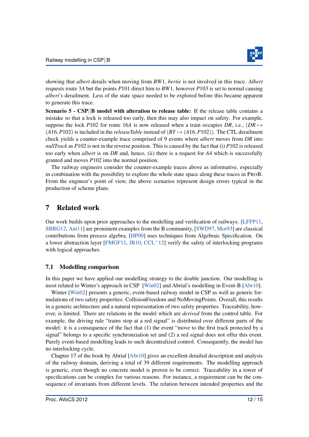

showing that *albert* derails when moving from *BW*1, *bertie* is not involved in this trace. *Albert* requests route 3*A* but the points *P*101 direct him to *BW*1, however *P*103 is set to normal causing *albert*'s derailment. Less of the state space needed to be explored before this became apparent to generate this trace.

Scenario 5 - CSP||B model with alteration to release table: If the release table contains a mistake so that a lock is released too early, then this may also impact on safety. For example, suppose the lock *P*102 for route 16*A* is now released when a train occupies *DR*, i.e.,  $(DR \rightarrow$  $(A16, P102)$  is included in the *releaseTable* instead of  $(BY \rightarrow (A16, P102))$ . The CTL derailment check yields a counter-example trace comprised of 9 events where *albert* moves from *DR* into *nullTrack* as *P*102 is not in the reverse position. This is caused by the fact that (i) *P*102 is released too early when *albert* is on *DR* and, hence, (ii) there is a request for *A*4 which is successfully granted and moves *P*102 into the normal position.

The railway engineers consider the counter-example traces above as informative, especially in combination with the possibility to explore the whole state space along these traces in PROB. From the engineer's point of view, the above scenarios represent design errors typical in the production of scheme plans.

### <span id="page-12-0"></span>7 Related work

Our work builds upon prior approaches to the modelling and verification of railways. [\[LFFP11,](#page-15-6) [SBRG12,](#page-15-7) [Ant11\]](#page-14-5) are prominent examples from the B community, [\[SWD97,](#page-15-8) [Mor93\]](#page-15-9) are classical contributions from process algebra, [\[HP00\]](#page-14-6) uses techniques from Algebraic Specification. On a lower abstraction layer [\[FMGF11,](#page-14-7) [JR10,](#page-15-10)  $CCL+12$  $CCL+12$ ] verify the safety of interlocking programs with logical approaches.

#### 7.1 Modelling comparison

In this paper we have applied our modelling strategy to the double junction. Our modelling is most related to Winter's approach in CSP [\[Win02\]](#page-15-11) and Abrial's modelling in Event-B [\[Abr10\]](#page-14-9).

Winter [\[Win02\]](#page-15-11) presents a generic, event-based railway model in CSP as well as generic formulations of two safety properties: CollisionFreedom and NoMovingPoints. Overall, this results in a generic architecture and a natural representation of two safety properties. Traceability, however, is limited. There are relations in the model which are *derived* from the control table. For example, the driving rule "trains stop at a red signal" is distributed over different parts of the model: it is a consequence of the fact that (1) the event "move to the first track protected by a signal" belongs to a specific synchronziation set and (2) a red signal does not offer this event. Purely event-based modelling leads to such decentralized control. Consequently, the model has no interlocking cycle.

Chapter 17 of the book by Abrial [\[Abr10\]](#page-14-9) gives an excellent detailed description and analysis of the railway domain, deriving a total of 39 different requirements. The modelling approach is generic, even though no concrete model is proven to be correct. Traceability in a tower of specifications can be complex for various reasons. For instance, a requirement can be the consequence of invariants from different levels. The relation between intended properties and the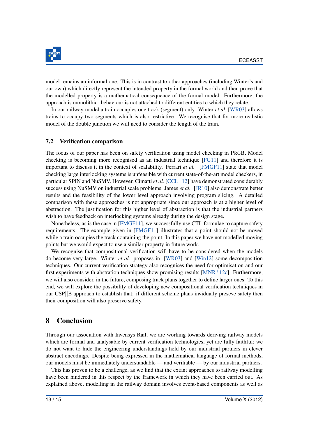

model remains an informal one. This is in contrast to other approaches (including Winter's and our own) which directly represent the intended property in the formal world and then prove that the modelled property is a mathematical consequence of the formal model. Furthermore, the approach is monolithic: behaviour is not attached to different entities to which they relate.

In our railway model a train occupies one track (segment) only. Winter *et al.* [\[WR03\]](#page-15-12) allows trains to occupy two segments which is also restrictive. We recognise that for more realistic model of the double junction we will need to consider the length of the train.

#### 7.2 Verification comparison

The focus of our paper has been on safety verification using model checking in PROB. Model checking is becoming more recognised as an industrial technique [\[FG11\]](#page-14-10) and therefore it is important to discuss it in the context of scalability. Ferrari *et al.* [\[FMGF11\]](#page-14-7) state that model checking large interlocking systems is unfeasible with current state-of-the-art model checkers, in particular SPIN and NuSMV. However, Cimatti *et al.* [\[CCL](#page-14-8)<sup>+</sup>12] have demonstrated considerably success using NuSMV on industrial scale problems. James *et al.* [\[JR10\]](#page-15-10) also demonstrate better results and the feasibility of the lower level approach involving program slicing. A detailed comparison with these approaches is not appropriate since our approach is at a higher level of abstraction. The justification for this higher level of abstraction is that the industrial partners wish to have feedback on interlocking systems already during the design stage.

Nonetheless, as is the case in [\[FMGF11\]](#page-14-7), we successfully use CTL formulae to capture safety requirements. The example given in [\[FMGF11\]](#page-14-7) illustrates that a point should not be moved while a train occupies the track containing the point. In this paper we have not modelled moving points but we would expect to use a similar property in future work.

We recognise that compositional verification will have to be considered when the models do become very large. Winter *et al.* proposes in [\[WR03\]](#page-15-12) and [\[Win12\]](#page-15-13) some decomposition techniques. Our current verification strategy also recognises the need for optimisation and our first experiments with abstration techniques show promising results  $[MNR+12c]$  $[MNR+12c]$ . Furthermore, we will also consider, in the future, composing track plans together to define larger ones. To this end, we will explore the possibility of developing new compositional verification techniques in our CSP||B approach to establish that: if different scheme plans invidually preseve safety then their composition will also preserve safety.

### <span id="page-13-0"></span>8 Conclusion

Through our association with Invensys Rail, we are working towards deriving railway models which are formal and analysable by current verification technologies, yet are fully faithful; we do not want to hide the engineering understandings held by our industrial partners in clever abstract encodings. Despite being expressed in the mathematical language of formal methods, our models must be immediately understandable — and verifiable — by our industrial partners.

This has proven to be a challenge, as we find that the extant approaches to railway modelling have been hindered in this respect by the framework in which they have been carried out. As explained above, modelling in the railway domain involves event-based components as well as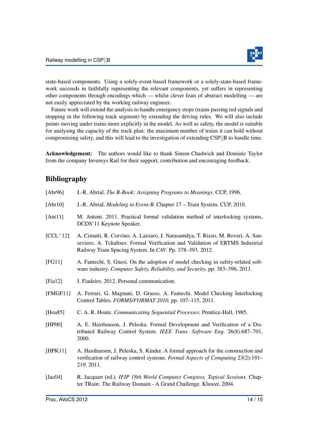

state-based components. Using a solely-event-based framework or a solely-state-based framework succeeds in faithfully representing the relevant components, yet suffers in representing other components through encodings which — whilst clever feats of abstract modelling — are not easily appreciated by the working railway engineer.

Future work will extend the analysis to handle emergency stops (trains passing red signals and stopping in the following track segment) by extending the driving rules. We will also include points moving under trains more explicitly in the model. As well as safety, the model is suitable for analysing the capacity of the track plan: the maximum number of trains it can hold without compromising safety, and this will lead to the investigation of extending CSP||B to handle time.

Acknowledgement: The authors would like to thank Simon Chadwick and Dominic Taylor from the company Invensys Rail for their support, contribution and encouraging feedback.

# Bibliography

<span id="page-14-10"></span><span id="page-14-9"></span><span id="page-14-8"></span><span id="page-14-7"></span><span id="page-14-6"></span><span id="page-14-5"></span><span id="page-14-4"></span><span id="page-14-3"></span><span id="page-14-2"></span><span id="page-14-1"></span><span id="page-14-0"></span>

| [Abr96]     | J.-R. Abrial. The B-Book: Assigning Programs to Meanings. CUP, 1996.                                                                                                                                                         |
|-------------|------------------------------------------------------------------------------------------------------------------------------------------------------------------------------------------------------------------------------|
| [Abr10]     | J.-R. Abrial. <i>Modeling in Event-B.</i> Chapter 17 – Train System. CUP, 2010.                                                                                                                                              |
| [Ant1]      | M. Antoni. 2011. Practical formal validation method of interlocking systems,<br>DCDS'11 Keynote Speaker.                                                                                                                     |
| $[CL+12]$   | A. Cimatti, R. Corvino, A. Lazzaro, I. Narasamdya, T. Rizzo, M. Roveri, A. San-<br>seviero, A. Tchaltsev. Formal Verification and Validation of ERTMS Industrial<br>Railway Train Spacing System. In CAV. Pp. 378–393. 2012. |
| [FG11]      | A. Fantechi, S. Gnesi. On the adoption of model checking in safety-related soft-<br>ware industry. Computer Safety, Reliability, and Security, pp. 383-396, 2011.                                                            |
| [Fia $12$ ] | J. Fiadeiro. 2012. Personal communication.                                                                                                                                                                                   |
| [FMGF11]    | A. Ferrari, G. Magnani, D. Grasso, A. Fantechi. Model Checking Interlocking<br>Control Tables. FORMS/FORMAT 2010, pp. 107-115, 2011.                                                                                         |
| [Hoa85]     | C. A. R. Hoare. Communicating Sequential Processes. Prentice-Hall, 1985.                                                                                                                                                     |
| [HP00]      | A. E. Haxthausen, J. Peleska. Formal Development and Verification of a Dis-<br>tributed Railway Control System. IEEE Trans. Software Eng. 26(8):687-701,<br>2000.                                                            |
| [HPK11]     | A. Haxthausen, J. Peleska, S. Kinder. A formal approach for the construction and<br>verification of railway control systems. Formal Aspects of Computing 23(2):191-<br>219, 2011.                                            |
| [Jac04]     | R. Jacquart (ed.). IFIP 18th World Computer Congress, Topical Sessions. Chap-<br>ter TRain: The Railway Domain - A Grand Challenge. Kluwer, 2004.                                                                            |